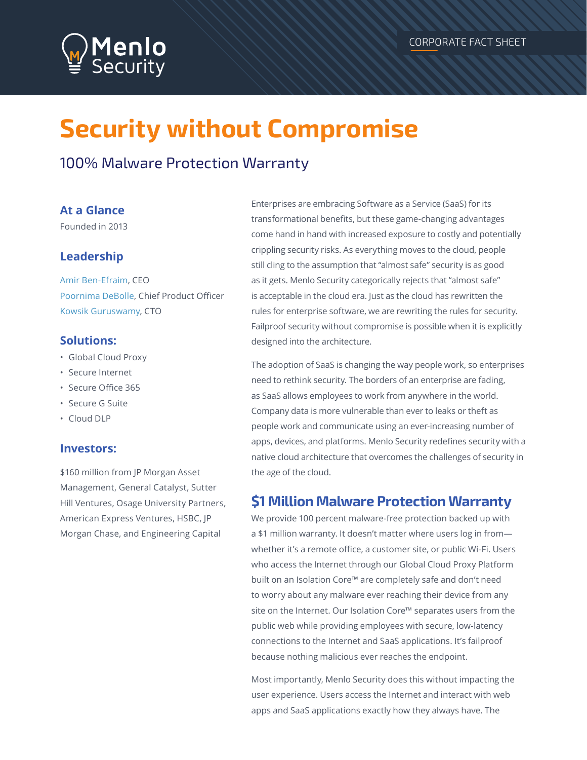# **Security without Compromise**

# 100% Malware Protection Warranty

#### **At a Glance**

Founded in 2013

### **Leadership**

Amir Ben-Efraim, CEO Poornima DeBolle, Chief Product Officer Kowsik Guruswamy, CTO

#### **Solutions:**

- Global Cloud Proxy
- Secure Internet
- Secure Office 365
- Secure G Suite
- Cloud DLP

#### **Investors:**

\$160 million from JP Morgan Asset Management, General Catalyst, Sutter Hill Ventures, Osage University Partners, American Express Ventures, HSBC, JP Morgan Chase, and Engineering Capital

Enterprises are embracing Software as a Service (SaaS) for its transformational benefits, but these game-changing advantages come hand in hand with increased exposure to costly and potentially crippling security risks. As everything moves to the cloud, people still cling to the assumption that "almost safe" security is as good as it gets. Menlo Security categorically rejects that "almost safe" is acceptable in the cloud era. Just as the cloud has rewritten the rules for enterprise software, we are rewriting the rules for security. Failproof security without compromise is possible when it is explicitly designed into the architecture.

The adoption of SaaS is changing the way people work, so enterprises need to rethink security. The borders of an enterprise are fading, as SaaS allows employees to work from anywhere in the world. Company data is more vulnerable than ever to leaks or theft as people work and communicate using an ever-increasing number of apps, devices, and platforms. Menlo Security redefines security with a native cloud architecture that overcomes the challenges of security in the age of the cloud.

## **\$1 Million Malware Protection Warranty**

We provide 100 percent malware-free protection backed up with a \$1 million warranty. It doesn't matter where users log in from whether it's a remote office, a customer site, or public Wi-Fi. Users who access the Internet through our Global Cloud Proxy Platform built on an Isolation Core™ are completely safe and don't need to worry about any malware ever reaching their device from any site on the Internet. Our Isolation Core™ separates users from the public web while providing employees with secure, low-latency connections to the Internet and SaaS applications. It's failproof because nothing malicious ever reaches the endpoint.

Most importantly, Menlo Security does this without impacting the user experience. Users access the Internet and interact with web apps and SaaS applications exactly how they always have. The